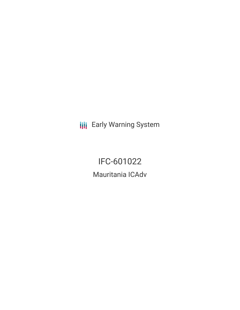**III** Early Warning System

IFC-601022 Mauritania ICAdv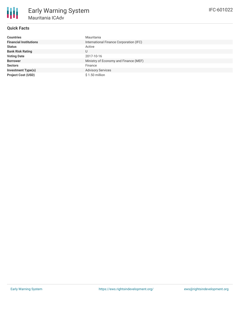

# **Quick Facts**

| <b>Countries</b>              | Mauritania                              |
|-------------------------------|-----------------------------------------|
| <b>Financial Institutions</b> | International Finance Corporation (IFC) |
| <b>Status</b>                 | Active                                  |
| <b>Bank Risk Rating</b>       | U                                       |
| <b>Voting Date</b>            | 2017-10-16                              |
| <b>Borrower</b>               | Ministry of Economy and Finance (MEF)   |
| <b>Sectors</b>                | Finance                                 |
| <b>Investment Type(s)</b>     | <b>Advisory Services</b>                |
| <b>Project Cost (USD)</b>     | $$1.50$ million                         |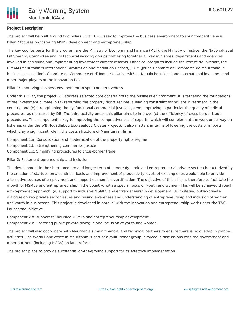

### **Project Description**

The project will be built around two pillars. Pillar 1 will seek to improve the business environment to spur competitiveness. Pillar 2 focuses on fostering MSME development and entrepreneurship.

The key counterparts for this program are the Ministry of Economy and Finance (MEF), the Ministry of Justice, the National-level DB Steering Committee and its technical working groups that bring together all key ministries, departments and agencies involved in designing and implementing investment climate reforms. Other counterparts include the Port of Nouakchott, the CIMAM (Mauritania?s International Arbitration and Mediation Center), JCCM (Jeune Chambre de Commerce de Mauritanie, a business association), Chambre de Commerce et d?Industrie, Universit? de Nouakchott, local and international investors, and other major players of the innovation field.

#### Pillar 1: Improving business environment to spur competitiveness

Under this Pillar, the project will address selected core constraints to the business environment. It is targeting the foundations of the investment climate in (a) reforming the property rights regime, a leading constraint for private investment in the country, and (b) strengthening the dysfunctional commercial justice system, improving in particular the quality of judicial processes, as measured by DB. The third activity under this pillar aims to improve (c) the efficiency of cross-border trade procedures. This component is key to improving the competitiveness of exports (which will complement the work underway on fisheries under the WB Nouadhibou Eco-Seafood Cluster Project). It also matters in terms of lowering the costs of imports, which play a significant role in the costs structure of Mauritanian firms.

Component 1.a: Consolidation and modernization of the property rights regime Component 1.b: Strengthening commercial justice Component 1.c: Simplifying procedures to cross-border trade

Pillar 2: Foster entrepreneurship and inclusion

The development in the short, medium and longer term of a more dynamic and entrepreneurial private sector characterized by the creation of startups on a continual basis and improvement of productivity levels of existing ones would help to provide alternative sources of employment and support economic diversification. The objective of this pillar is therefore to facilitate the growth of MSMES and entrepreneurship in the country, with a special focus on youth and women. This will be achieved through a two-pronged approach: (a) support to inclusive MSMES and entrepreneurship development; (b) fostering public-private dialogue on key private sector issues and raising awareness and understanding of entrepreneurship and inclusion of women and youth in businesses. This project is developed in parallel with the innovation and entrepreneurship work under the T&C Launchpad Initiative.

Component 2.a: support to inclusive MSMEs and entrepreneurship development. Component 2.b: Fostering public-private dialogue and inclusion of youth and women.

The project will also coordinate with Mauritania's main financial and technical partners to ensure there is no overlap in planned activities. The World Bank office in Mauritania is part of a multi-donor group involved in discussions with the government and other partners (including NGOs) on land reform.

The project plans to provide substantial on-the-ground support for its effective implementation.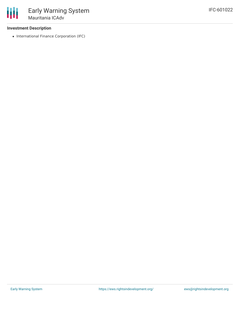### **Investment Description**

• International Finance Corporation (IFC)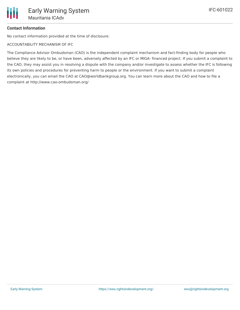## **Contact Information**

No contact information provided at the time of disclosure.

ACCOUNTABILITY MECHANISM OF IFC

The Compliance Advisor Ombudsman (CAO) is the independent complaint mechanism and fact-finding body for people who believe they are likely to be, or have been, adversely affected by an IFC or MIGA- financed project. If you submit a complaint to the CAO, they may assist you in resolving a dispute with the company and/or investigate to assess whether the IFC is following its own policies and procedures for preventing harm to people or the environment. If you want to submit a complaint electronically, you can email the CAO at CAO@worldbankgroup.org. You can learn more about the CAO and how to file a complaint at http://www.cao-ombudsman.org/